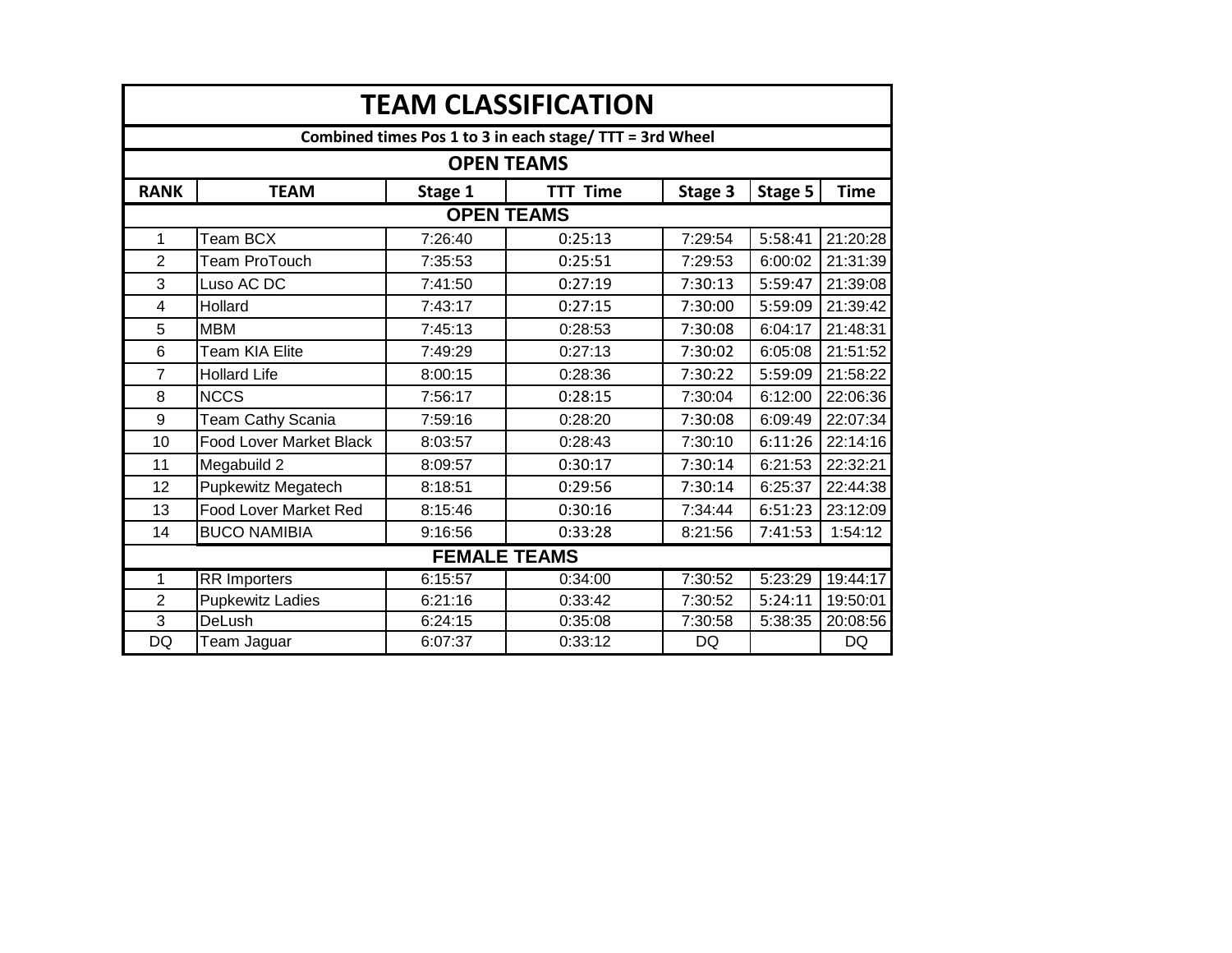| <b>TEAM CLASSIFICATION</b>                               |                                |         |                     |           |         |             |  |  |  |
|----------------------------------------------------------|--------------------------------|---------|---------------------|-----------|---------|-------------|--|--|--|
| Combined times Pos 1 to 3 in each stage/ TTT = 3rd Wheel |                                |         |                     |           |         |             |  |  |  |
| <b>OPEN TEAMS</b>                                        |                                |         |                     |           |         |             |  |  |  |
| <b>RANK</b>                                              | <b>TEAM</b>                    | Stage 1 | <b>TTT Time</b>     | Stage 3   | Stage 5 | <b>Time</b> |  |  |  |
|                                                          |                                |         | <b>OPEN TEAMS</b>   |           |         |             |  |  |  |
| $\mathbf 1$                                              | Team BCX                       | 7:26:40 | 0:25:13             | 7:29:54   | 5:58:41 | 21:20:28    |  |  |  |
| $\overline{2}$                                           | Team ProTouch                  | 7:35:53 | 0:25:51             | 7:29:53   | 6:00:02 | 21:31:39    |  |  |  |
| 3                                                        | Luso AC DC                     | 7:41:50 | 0:27:19             | 7:30:13   | 5:59:47 | 21:39:08    |  |  |  |
| 4                                                        | Hollard                        | 7:43:17 | 0:27:15             | 7:30:00   | 5:59:09 | 21:39:42    |  |  |  |
| 5                                                        | <b>MBM</b>                     | 7:45:13 | 0:28:53             | 7:30:08   | 6:04:17 | 21:48:31    |  |  |  |
| 6                                                        | <b>Team KIA Elite</b>          | 7:49:29 | 0:27:13             | 7:30:02   | 6:05:08 | 21:51:52    |  |  |  |
| $\overline{7}$                                           | <b>Hollard Life</b>            | 8:00:15 | 0:28:36             | 7:30:22   | 5:59:09 | 21:58:22    |  |  |  |
| 8                                                        | <b>NCCS</b>                    | 7:56:17 | 0:28:15             | 7:30:04   | 6:12:00 | 22:06:36    |  |  |  |
| 9                                                        | Team Cathy Scania              | 7:59:16 | 0:28:20             | 7:30:08   | 6:09:49 | 22:07:34    |  |  |  |
| 10                                                       | <b>Food Lover Market Black</b> | 8:03:57 | 0:28:43             | 7:30:10   | 6:11:26 | 22:14:16    |  |  |  |
| 11                                                       | Megabuild 2                    | 8:09:57 | 0:30:17             | 7:30:14   | 6:21:53 | 22:32:21    |  |  |  |
| 12                                                       | <b>Pupkewitz Megatech</b>      | 8:18:51 | 0:29:56             | 7:30:14   | 6:25:37 | 22:44:38    |  |  |  |
| 13                                                       | <b>Food Lover Market Red</b>   | 8:15:46 | 0:30:16             | 7:34:44   | 6:51:23 | 23:12:09    |  |  |  |
| 14                                                       | <b>BUCO NAMIBIA</b>            | 9:16:56 | 0:33:28             | 8:21:56   | 7:41:53 | 1:54:12     |  |  |  |
|                                                          |                                |         | <b>FEMALE TEAMS</b> |           |         |             |  |  |  |
| 1                                                        | <b>RR</b> Importers            | 6:15:57 | 0:34:00             | 7:30:52   | 5:23:29 | 19:44:17    |  |  |  |
| 2                                                        | <b>Pupkewitz Ladies</b>        | 6:21:16 | 0:33:42             | 7:30:52   | 5:24:11 | 19:50:01    |  |  |  |
| $\overline{3}$                                           | <b>DeLush</b>                  | 6:24:15 | 0:35:08             | 7:30:58   | 5:38:35 | 20:08:56    |  |  |  |
| <b>DQ</b>                                                | Team Jaguar                    | 6:07:37 | 0:33:12             | <b>DQ</b> |         | <b>DQ</b>   |  |  |  |